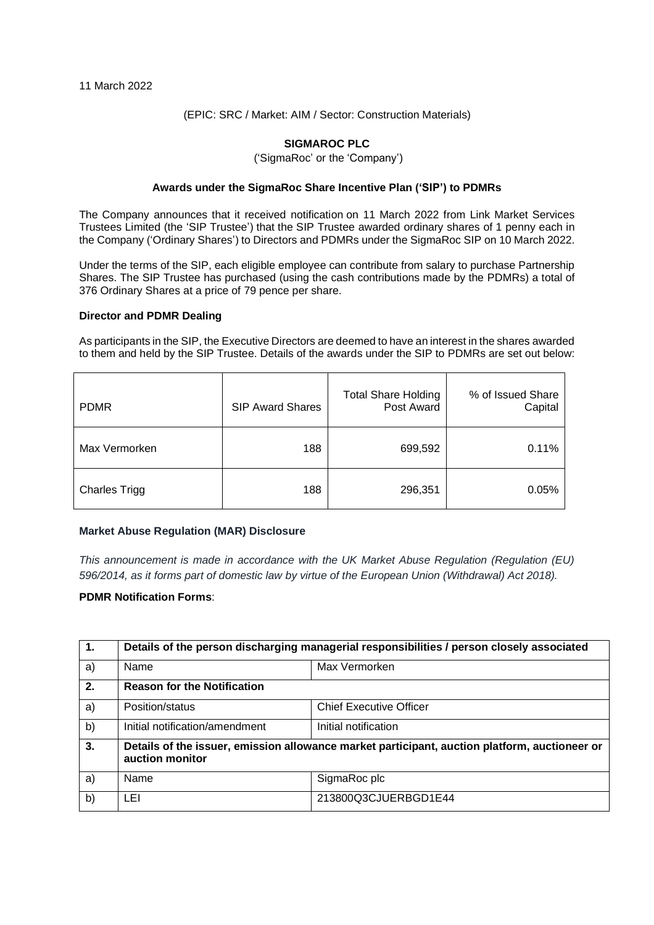## (EPIC: SRC / Market: AIM / Sector: Construction Materials)

# **SIGMAROC PLC**

('SigmaRoc' or the 'Company')

## **Awards under the SigmaRoc Share Incentive Plan ('SIP') to PDMRs**

The Company announces that it received notification on 11 March 2022 from Link Market Services Trustees Limited (the 'SIP Trustee') that the SIP Trustee awarded ordinary shares of 1 penny each in the Company ('Ordinary Shares') to Directors and PDMRs under the SigmaRoc SIP on 10 March 2022.

Under the terms of the SIP, each eligible employee can contribute from salary to purchase Partnership Shares. The SIP Trustee has purchased (using the cash contributions made by the PDMRs) a total of 376 Ordinary Shares at a price of 79 pence per share.

#### **Director and PDMR Dealing**

As participants in the SIP, the Executive Directors are deemed to have an interest in the shares awarded to them and held by the SIP Trustee. Details of the awards under the SIP to PDMRs are set out below:

| <b>PDMR</b>          | <b>SIP Award Shares</b> | <b>Total Share Holding</b><br>Post Award | % of Issued Share<br>Capital |
|----------------------|-------------------------|------------------------------------------|------------------------------|
| Max Vermorken        | 188                     | 699,592                                  | 0.11%                        |
| <b>Charles Trigg</b> | 188                     | 296,351                                  | 0.05%                        |

### **Market Abuse Regulation (MAR) Disclosure**

*This announcement is made in accordance with the UK Market Abuse Regulation (Regulation (EU) 596/2014, as it forms part of domestic law by virtue of the European Union (Withdrawal) Act 2018).*

# **PDMR Notification Forms**:

| $\mathbf{1}$ . | Details of the person discharging managerial responsibilities / person closely associated                        |                                |  |
|----------------|------------------------------------------------------------------------------------------------------------------|--------------------------------|--|
| a)             | Name                                                                                                             | Max Vermorken                  |  |
| 2.             | <b>Reason for the Notification</b>                                                                               |                                |  |
| a)             | Position/status                                                                                                  | <b>Chief Executive Officer</b> |  |
| b)             | Initial notification/amendment                                                                                   | Initial notification           |  |
| 3.             | Details of the issuer, emission allowance market participant, auction platform, auctioneer or<br>auction monitor |                                |  |
| a)             | Name                                                                                                             | SigmaRoc plc                   |  |
| b)             | LEI                                                                                                              | 213800Q3CJUERBGD1E44           |  |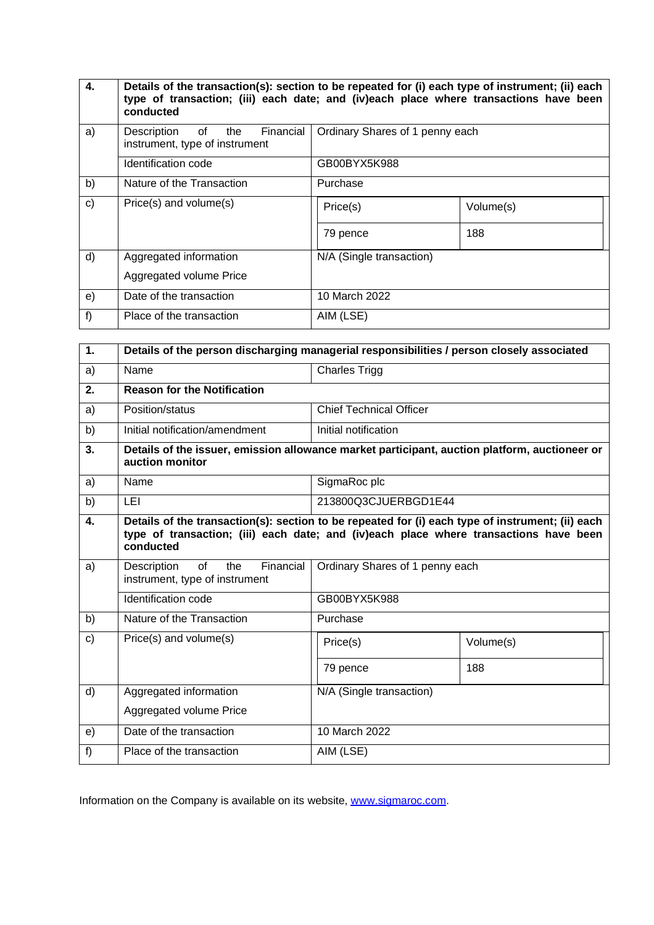| 4.           | Details of the transaction(s): section to be repeated for (i) each type of instrument; (ii) each<br>type of transaction; (iii) each date; and (iv)each place where transactions have been<br>conducted |                                 |           |
|--------------|--------------------------------------------------------------------------------------------------------------------------------------------------------------------------------------------------------|---------------------------------|-----------|
| a)           | Financial<br>of l<br>Description<br>the<br>instrument, type of instrument                                                                                                                              | Ordinary Shares of 1 penny each |           |
|              | Identification code                                                                                                                                                                                    | GB00BYX5K988                    |           |
| b)           | Nature of the Transaction                                                                                                                                                                              | Purchase                        |           |
| $\mathbf{C}$ | Price(s) and volume(s)                                                                                                                                                                                 | Price(s)                        | Volume(s) |
|              |                                                                                                                                                                                                        | 79 pence                        | 188       |
| $\mathsf{d}$ | Aggregated information                                                                                                                                                                                 | N/A (Single transaction)        |           |
|              | Aggregated volume Price                                                                                                                                                                                |                                 |           |
| e)           | Date of the transaction                                                                                                                                                                                | 10 March 2022                   |           |
| f)           | Place of the transaction                                                                                                                                                                               | AIM (LSE)                       |           |

| 1. | Details of the person discharging managerial responsibilities / person closely associated                                                                                                              |                                 |           |  |
|----|--------------------------------------------------------------------------------------------------------------------------------------------------------------------------------------------------------|---------------------------------|-----------|--|
| a) | Name                                                                                                                                                                                                   | <b>Charles Trigg</b>            |           |  |
| 2. | <b>Reason for the Notification</b>                                                                                                                                                                     |                                 |           |  |
| a) | Position/status                                                                                                                                                                                        | <b>Chief Technical Officer</b>  |           |  |
| b) | Initial notification/amendment                                                                                                                                                                         | Initial notification            |           |  |
| 3. | Details of the issuer, emission allowance market participant, auction platform, auctioneer or<br>auction monitor                                                                                       |                                 |           |  |
| a) | Name                                                                                                                                                                                                   | SigmaRoc plc                    |           |  |
| b) | LEI                                                                                                                                                                                                    | 213800Q3CJUERBGD1E44            |           |  |
| 4. | Details of the transaction(s): section to be repeated for (i) each type of instrument; (ii) each<br>type of transaction; (iii) each date; and (iv)each place where transactions have been<br>conducted |                                 |           |  |
| a) | of<br>Financial<br>Description<br>the<br>instrument, type of instrument                                                                                                                                | Ordinary Shares of 1 penny each |           |  |
|    | <b>Identification code</b>                                                                                                                                                                             | GB00BYX5K988                    |           |  |
| b) | Nature of the Transaction                                                                                                                                                                              | Purchase                        |           |  |
| c) | Price(s) and volume(s)                                                                                                                                                                                 | Price(s)                        | Volume(s) |  |
|    |                                                                                                                                                                                                        | 79 pence                        | 188       |  |
| d) | Aggregated information                                                                                                                                                                                 | N/A (Single transaction)        |           |  |
|    | Aggregated volume Price                                                                                                                                                                                |                                 |           |  |
| e) | Date of the transaction                                                                                                                                                                                | 10 March 2022                   |           |  |
| f) | Place of the transaction                                                                                                                                                                               | AIM (LSE)                       |           |  |

Information on the Company is available on its website, [www.sigmaroc.com.](http://www.sigmaroc.com/)